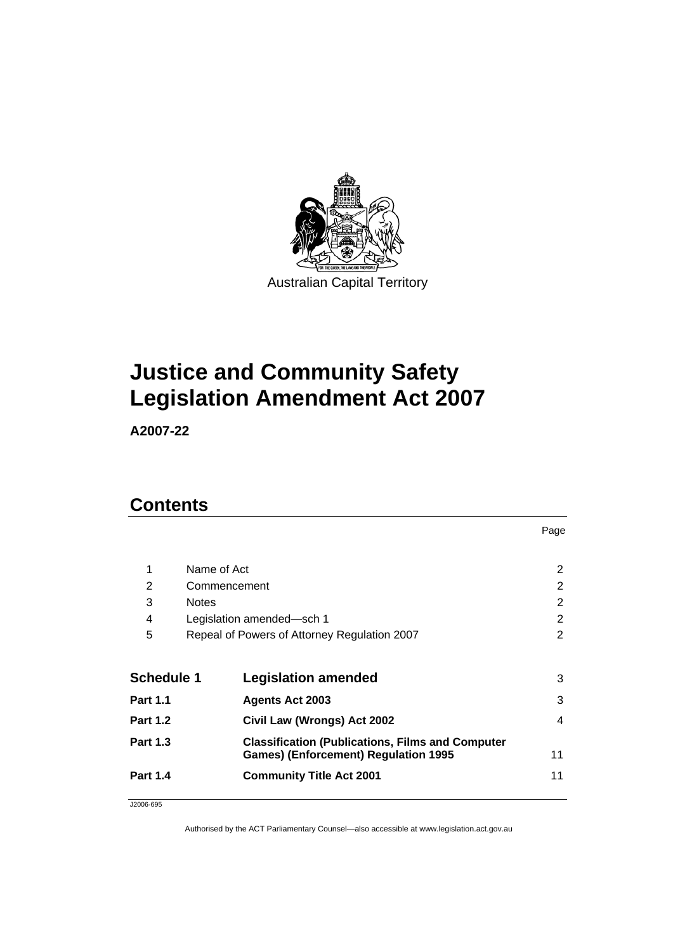

# **Justice and Community Safety Legislation Amendment Act 2007**

**A2007-22** 

# **Contents**

|                   |                                              |                                                                                                        | Page |
|-------------------|----------------------------------------------|--------------------------------------------------------------------------------------------------------|------|
| 1                 | Name of Act                                  |                                                                                                        | 2    |
| 2                 | Commencement                                 |                                                                                                        | 2    |
| 3                 | <b>Notes</b>                                 |                                                                                                        | 2    |
| 4                 |                                              | Legislation amended-sch 1                                                                              | 2    |
| 5                 | Repeal of Powers of Attorney Regulation 2007 |                                                                                                        | 2    |
| <b>Schedule 1</b> |                                              | <b>Legislation amended</b>                                                                             | 3    |
| <b>Part 1.1</b>   |                                              | <b>Agents Act 2003</b>                                                                                 | 3    |
| <b>Part 1.2</b>   |                                              | Civil Law (Wrongs) Act 2002                                                                            | 4    |
| <b>Part 1.3</b>   |                                              | <b>Classification (Publications, Films and Computer</b><br><b>Games) (Enforcement) Regulation 1995</b> | 11   |
| <b>Part 1.4</b>   |                                              | <b>Community Title Act 2001</b>                                                                        | 11   |
|                   |                                              |                                                                                                        |      |

J2006-695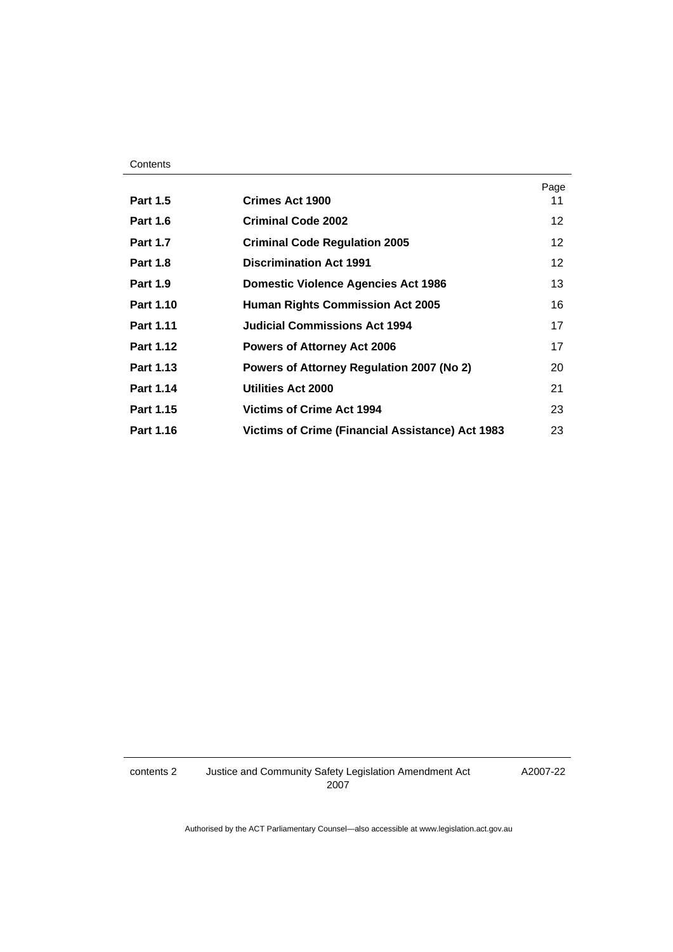| <b>Part 1.5</b>  | <b>Crimes Act 1900</b>                                  | Page<br>11      |
|------------------|---------------------------------------------------------|-----------------|
| <b>Part 1.6</b>  | <b>Criminal Code 2002</b>                               | 12              |
| <b>Part 1.7</b>  | <b>Criminal Code Regulation 2005</b>                    | 12              |
| <b>Part 1.8</b>  | <b>Discrimination Act 1991</b>                          | 12 <sup>°</sup> |
| <b>Part 1.9</b>  | <b>Domestic Violence Agencies Act 1986</b>              | 13              |
| <b>Part 1.10</b> | <b>Human Rights Commission Act 2005</b>                 | 16              |
| <b>Part 1.11</b> | <b>Judicial Commissions Act 1994</b>                    | 17              |
| <b>Part 1.12</b> | <b>Powers of Attorney Act 2006</b>                      | 17              |
| Part 1.13        | Powers of Attorney Regulation 2007 (No 2)               | 20              |
| Part 1.14        | Utilities Act 2000                                      | 21              |
| Part 1.15        | <b>Victims of Crime Act 1994</b>                        | 23              |
| Part 1.16        | <b>Victims of Crime (Financial Assistance) Act 1983</b> | 23              |

contents 2 Justice and Community Safety Legislation Amendment Act 2007

A2007-22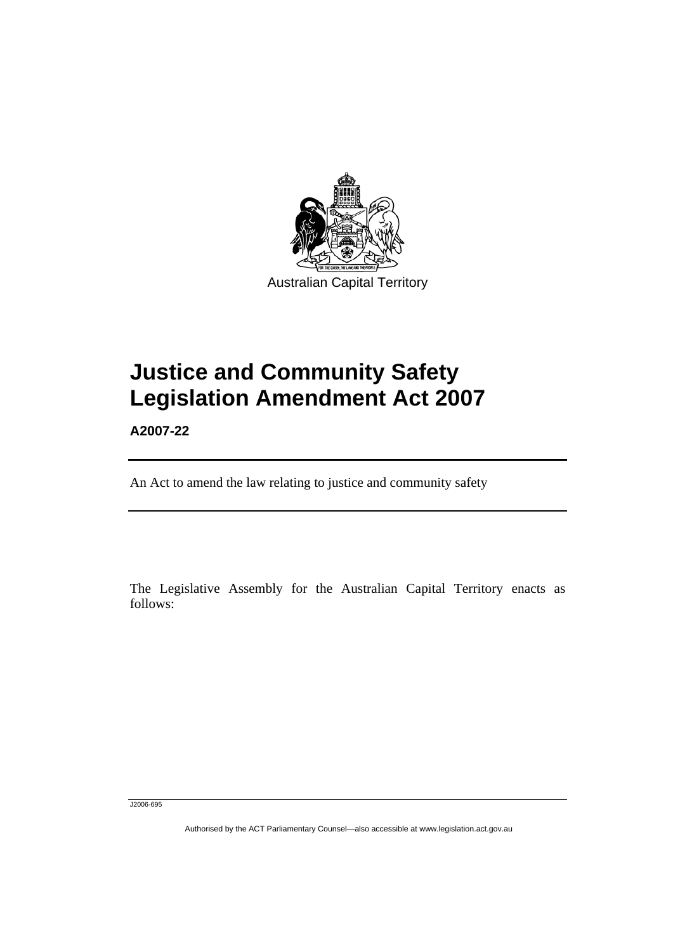

# **Justice and Community Safety Legislation Amendment Act 2007**

**A2007-22** 

l

An Act to amend the law relating to justice and community safety

The Legislative Assembly for the Australian Capital Territory enacts as follows:

J2006-695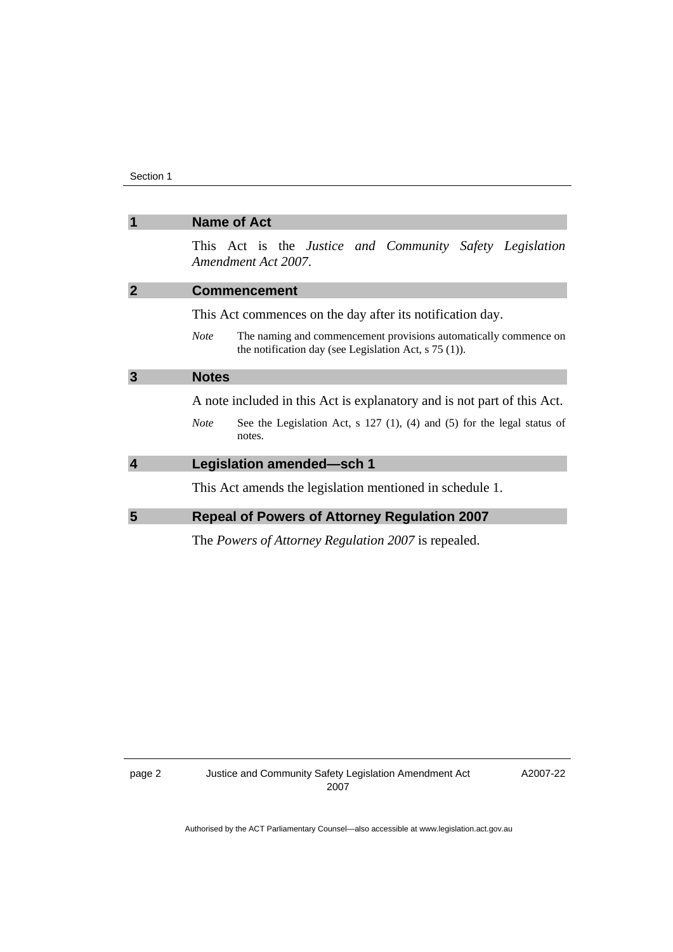| $\overline{\mathbf{1}}$ | <b>Name of Act</b>                                                                                                                         |
|-------------------------|--------------------------------------------------------------------------------------------------------------------------------------------|
|                         | This Act is the Justice and Community Safety Legislation<br>Amendment Act 2007.                                                            |
| $\overline{2}$          | <b>Commencement</b>                                                                                                                        |
|                         | This Act commences on the day after its notification day.                                                                                  |
|                         | The naming and commencement provisions automatically commence on<br><b>Note</b><br>the notification day (see Legislation Act, $s$ 75 (1)). |
| $\overline{3}$          | <b>Notes</b>                                                                                                                               |
|                         | A note included in this Act is explanatory and is not part of this Act.                                                                    |
|                         | See the Legislation Act, $s$ 127 (1), (4) and (5) for the legal status of<br><b>Note</b><br>notes.                                         |
| $\overline{\mathbf{4}}$ | Legislation amended-sch 1                                                                                                                  |
|                         | This Act amends the legislation mentioned in schedule 1.                                                                                   |
| 5                       | <b>Repeal of Powers of Attorney Regulation 2007</b>                                                                                        |
|                         | The <i>Powers of Attorney Regulation 2007</i> is repealed.                                                                                 |

A2007-22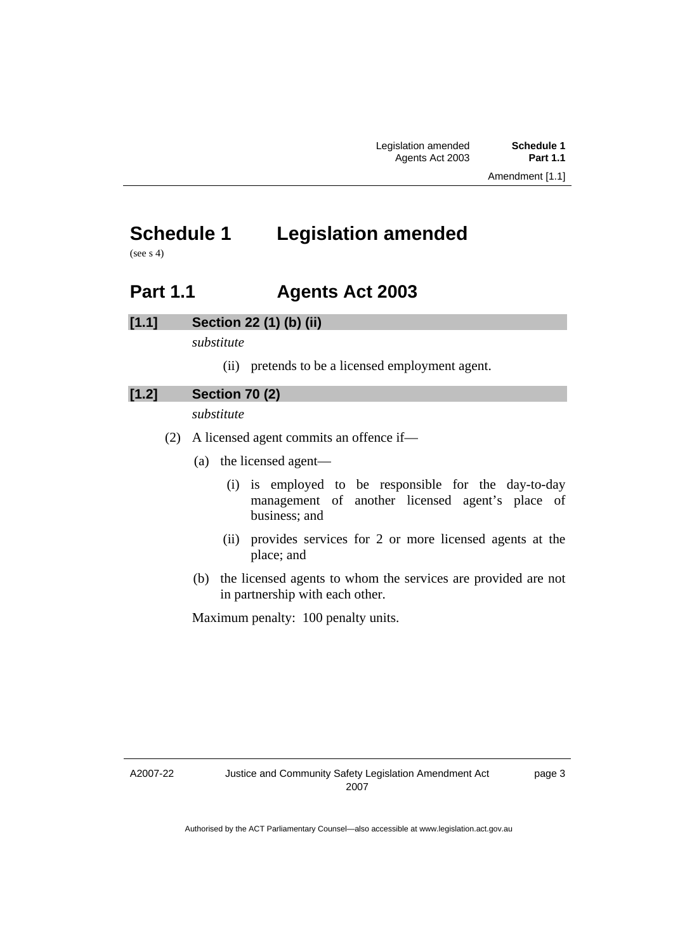Amendment [1.1]

# **Schedule 1 Legislation amended**

(see s 4)

# **Part 1.1 Agents Act 2003**

### **[1.1] Section 22 (1) (b) (ii)**

*substitute* 

(ii) pretends to be a licensed employment agent.

### **[1.2] Section 70 (2)**

*substitute* 

- (2) A licensed agent commits an offence if—
	- (a) the licensed agent—
		- (i) is employed to be responsible for the day-to-day management of another licensed agent's place of business; and
		- (ii) provides services for 2 or more licensed agents at the place; and
	- (b) the licensed agents to whom the services are provided are not in partnership with each other.

Maximum penalty: 100 penalty units.

A2007-22

page 3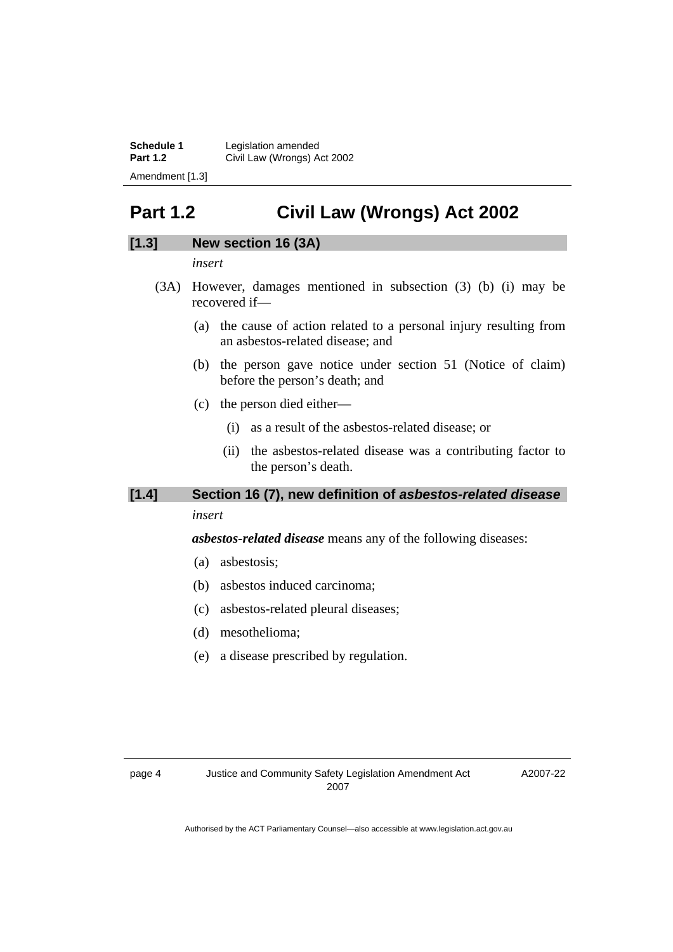**Schedule 1 Legislation amended**<br>**Part 1.2 Civil Law (Wrongs) A Part 1.2** Civil Law (Wrongs) Act 2002 Amendment [1.3]

# **Part 1.2 Civil Law (Wrongs) Act 2002**

### **[1.3] New section 16 (3A)**

*insert* 

- (3A) However, damages mentioned in subsection (3) (b) (i) may be recovered if—
	- (a) the cause of action related to a personal injury resulting from an asbestos-related disease; and
	- (b) the person gave notice under section 51 (Notice of claim) before the person's death; and
	- (c) the person died either—
		- (i) as a result of the asbestos-related disease; or
		- (ii) the asbestos-related disease was a contributing factor to the person's death.

## **[1.4] Section 16 (7), new definition of** *asbestos-related disease*

*insert* 

*asbestos-related disease* means any of the following diseases:

- (a) asbestosis;
- (b) asbestos induced carcinoma;
- (c) asbestos-related pleural diseases;
- (d) mesothelioma;
- (e) a disease prescribed by regulation.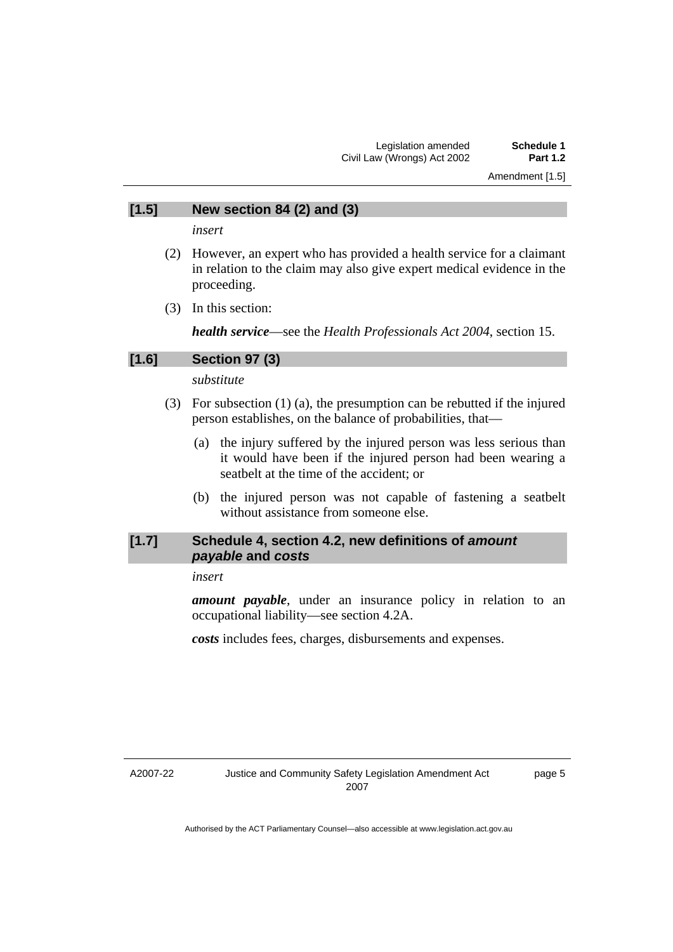Amendment [1.5]

### **[1.5] New section 84 (2) and (3)**

*insert* 

- (2) However, an expert who has provided a health service for a claimant in relation to the claim may also give expert medical evidence in the proceeding.
- (3) In this section:

*health service*—see the *Health Professionals Act 2004*, section 15.

### **[1.6] Section 97 (3)**

*substitute* 

- (3) For subsection (1) (a), the presumption can be rebutted if the injured person establishes, on the balance of probabilities, that—
	- (a) the injury suffered by the injured person was less serious than it would have been if the injured person had been wearing a seatbelt at the time of the accident; or
	- (b) the injured person was not capable of fastening a seatbelt without assistance from someone else.

### **[1.7] Schedule 4, section 4.2, new definitions of** *amount payable* **and** *costs*

### *insert*

*amount payable*, under an insurance policy in relation to an occupational liability—see section 4.2A.

*costs* includes fees, charges, disbursements and expenses.

A2007-22

page 5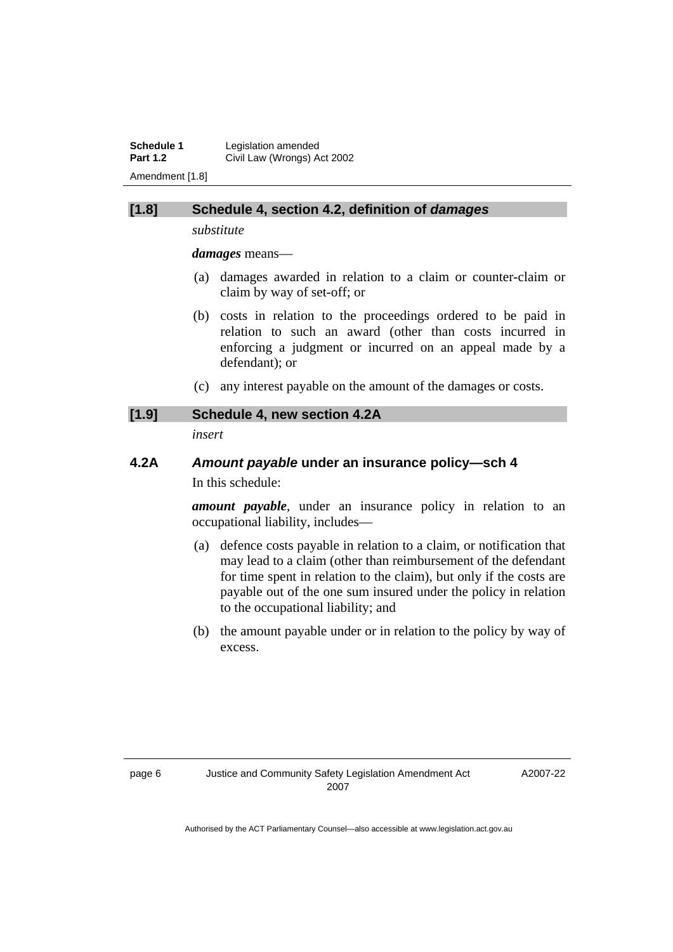**Schedule 1 Legislation amended**<br>**Part 1.2 Civil Law (Wrongs) A Part 1.2** Civil Law (Wrongs) Act 2002 Amendment [1.8]

### **[1.8] Schedule 4, section 4.2, definition of** *damages*

*substitute* 

*damages* means—

- (a) damages awarded in relation to a claim or counter-claim or claim by way of set-off; or
- (b) costs in relation to the proceedings ordered to be paid in relation to such an award (other than costs incurred in enforcing a judgment or incurred on an appeal made by a defendant); or
- (c) any interest payable on the amount of the damages or costs.

### **[1.9] Schedule 4, new section 4.2A**

*insert* 

## **4.2A** *Amount payable* **under an insurance policy—sch 4**  In this schedule:

*amount payable*, under an insurance policy in relation to an occupational liability, includes—

- (a) defence costs payable in relation to a claim, or notification that may lead to a claim (other than reimbursement of the defendant for time spent in relation to the claim), but only if the costs are payable out of the one sum insured under the policy in relation to the occupational liability; and
- (b) the amount payable under or in relation to the policy by way of excess.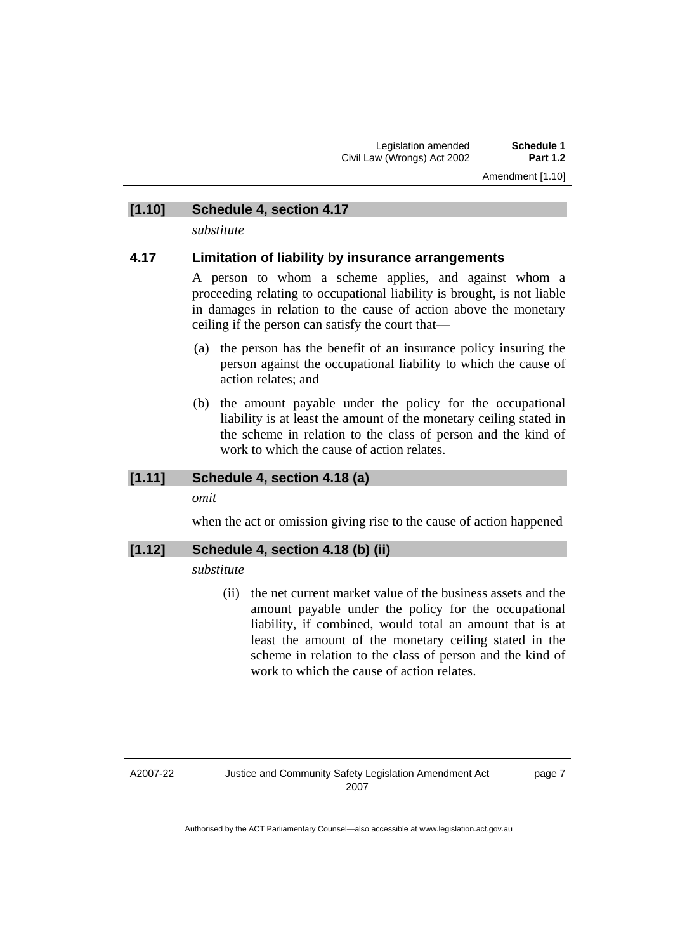Amendment [1.10]

### **[1.10] Schedule 4, section 4.17**

*substitute* 

### **4.17 Limitation of liability by insurance arrangements**

A person to whom a scheme applies, and against whom a proceeding relating to occupational liability is brought, is not liable in damages in relation to the cause of action above the monetary ceiling if the person can satisfy the court that—

- (a) the person has the benefit of an insurance policy insuring the person against the occupational liability to which the cause of action relates; and
- (b) the amount payable under the policy for the occupational liability is at least the amount of the monetary ceiling stated in the scheme in relation to the class of person and the kind of work to which the cause of action relates.

### **[1.11] Schedule 4, section 4.18 (a)**

*omit* 

when the act or omission giving rise to the cause of action happened

### **[1.12] Schedule 4, section 4.18 (b) (ii)**

*substitute* 

 (ii) the net current market value of the business assets and the amount payable under the policy for the occupational liability, if combined, would total an amount that is at least the amount of the monetary ceiling stated in the scheme in relation to the class of person and the kind of work to which the cause of action relates.

A2007-22

page 7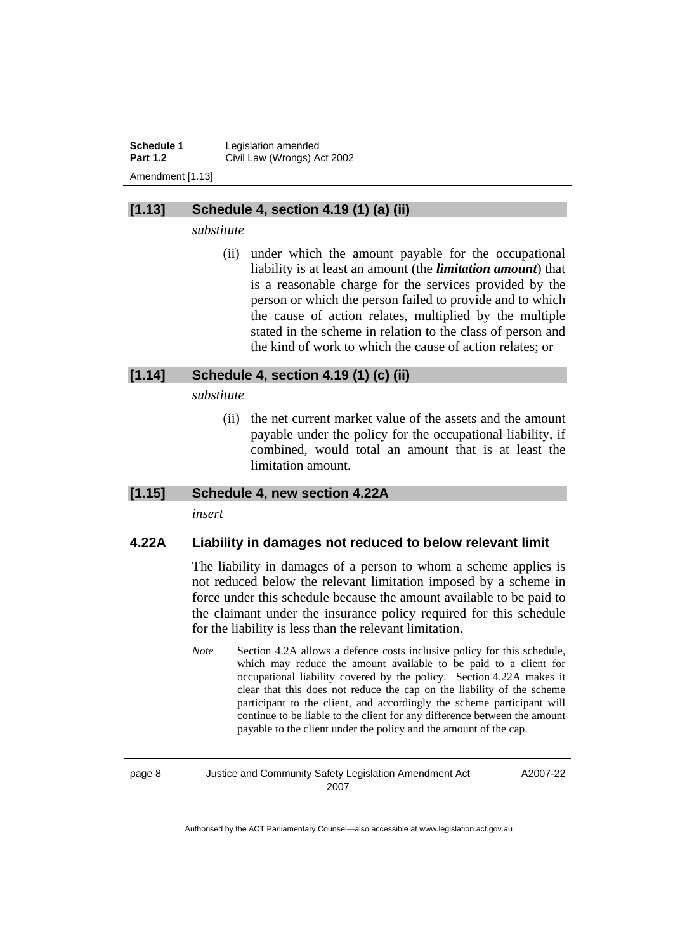**Schedule 1 Legislation amended**<br>**Part 1.2 Civil Law (Wrongs) A Part 1.2** Civil Law (Wrongs) Act 2002 Amendment [1.13]

### **[1.13] Schedule 4, section 4.19 (1) (a) (ii)**

*substitute* 

 (ii) under which the amount payable for the occupational liability is at least an amount (the *limitation amount*) that is a reasonable charge for the services provided by the person or which the person failed to provide and to which the cause of action relates, multiplied by the multiple stated in the scheme in relation to the class of person and the kind of work to which the cause of action relates; or

### **[1.14] Schedule 4, section 4.19 (1) (c) (ii)**

*substitute* 

 (ii) the net current market value of the assets and the amount payable under the policy for the occupational liability, if combined, would total an amount that is at least the limitation amount.

### **[1.15] Schedule 4, new section 4.22A**

*insert* 

### **4.22A Liability in damages not reduced to below relevant limit**

The liability in damages of a person to whom a scheme applies is not reduced below the relevant limitation imposed by a scheme in force under this schedule because the amount available to be paid to the claimant under the insurance policy required for this schedule for the liability is less than the relevant limitation.

*Note* Section 4.2A allows a defence costs inclusive policy for this schedule, which may reduce the amount available to be paid to a client for occupational liability covered by the policy. Section 4.22A makes it clear that this does not reduce the cap on the liability of the scheme participant to the client, and accordingly the scheme participant will continue to be liable to the client for any difference between the amount payable to the client under the policy and the amount of the cap.

A2007-22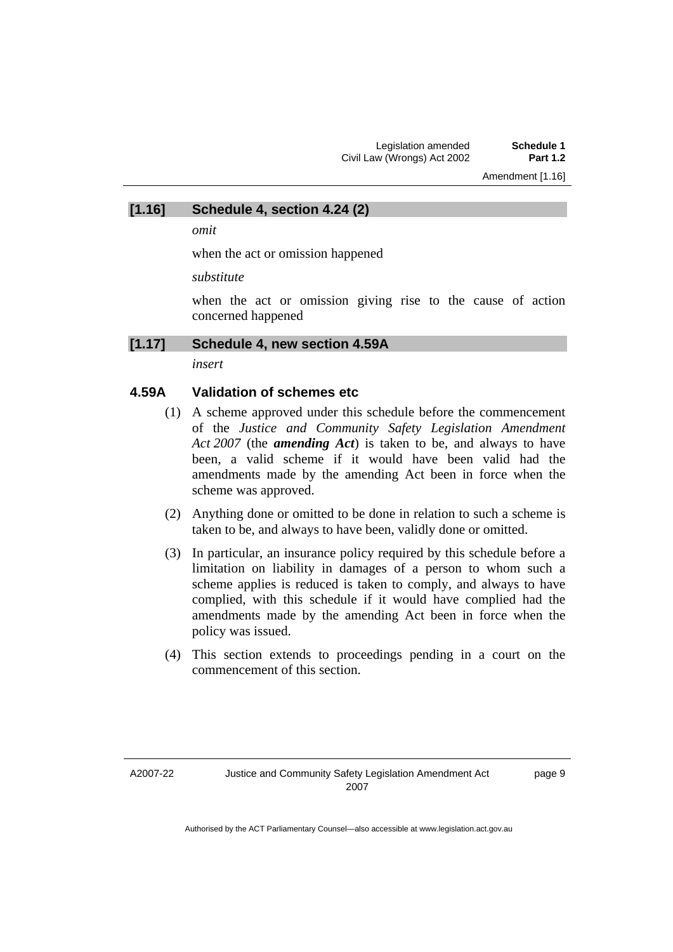Amendment [1.16]

*omit* 

when the act or omission happened

*substitute* 

when the act or omission giving rise to the cause of action concerned happened

### **[1.17] Schedule 4, new section 4.59A**

**[1.16] Schedule 4, section 4.24 (2)** 

*insert* 

### **4.59A Validation of schemes etc**

- (1) A scheme approved under this schedule before the commencement of the *Justice and Community Safety Legislation Amendment Act 2007* (the *amending Act*) is taken to be, and always to have been, a valid scheme if it would have been valid had the amendments made by the amending Act been in force when the scheme was approved.
- (2) Anything done or omitted to be done in relation to such a scheme is taken to be, and always to have been, validly done or omitted.
- (3) In particular, an insurance policy required by this schedule before a limitation on liability in damages of a person to whom such a scheme applies is reduced is taken to comply, and always to have complied, with this schedule if it would have complied had the amendments made by the amending Act been in force when the policy was issued.
- (4) This section extends to proceedings pending in a court on the commencement of this section.

page 9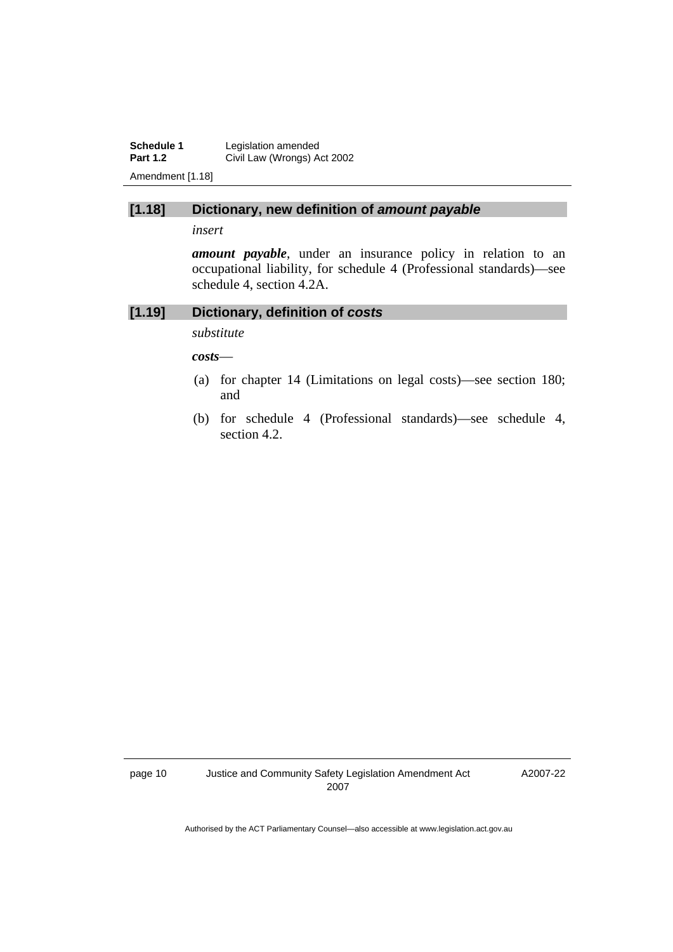**Schedule 1** Legislation amended<br>**Part 1.2** Civil Law (Wrongs) A **Civil Law (Wrongs) Act 2002** Amendment [1.18]

### **[1.18] Dictionary, new definition of** *amount payable*

*insert* 

*amount payable*, under an insurance policy in relation to an occupational liability, for schedule 4 (Professional standards)—see schedule 4, section 4.2A.

### **[1.19] Dictionary, definition of** *costs*

*substitute* 

*costs*—

- (a) for chapter 14 (Limitations on legal costs)—see section 180; and
- (b) for schedule 4 (Professional standards)—see schedule 4, section 4.2.

A2007-22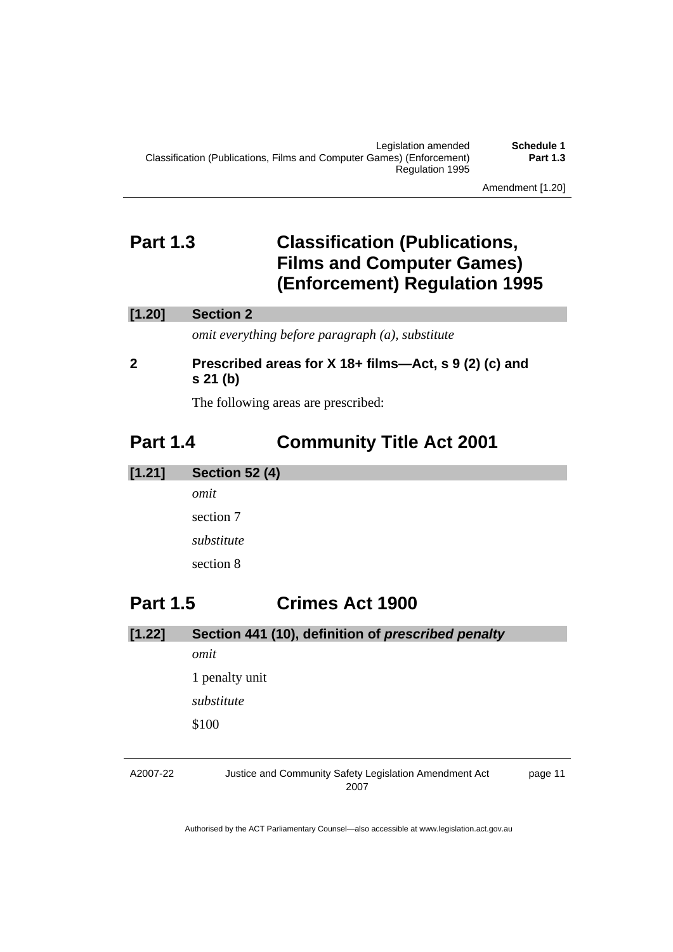Amendment [1.20]

# **Part 1.3 Classification (Publications, Films and Computer Games) (Enforcement) Regulation 1995**

### **[1.20] Section 2**

*omit everything before paragraph (a), substitute* 

### **2 Prescribed areas for X 18+ films—Act, s 9 (2) (c) and s 21 (b)**

The following areas are prescribed:

# **Part 1.4 Community Title Act 2001**

**[1.21] Section 52 (4)**  *omit*  section 7 *substitute*  section 8

# **Part 1.5 Crimes Act 1900**

| [1.22] | Section 441 (10), definition of prescribed penalty |
|--------|----------------------------------------------------|
|        | omit                                               |
|        | 1 penalty unit                                     |
|        | substitute                                         |
|        | \$100                                              |
|        |                                                    |

### A2007-22 Justice and Community Safety Legislation Amendment Act 2007 page 11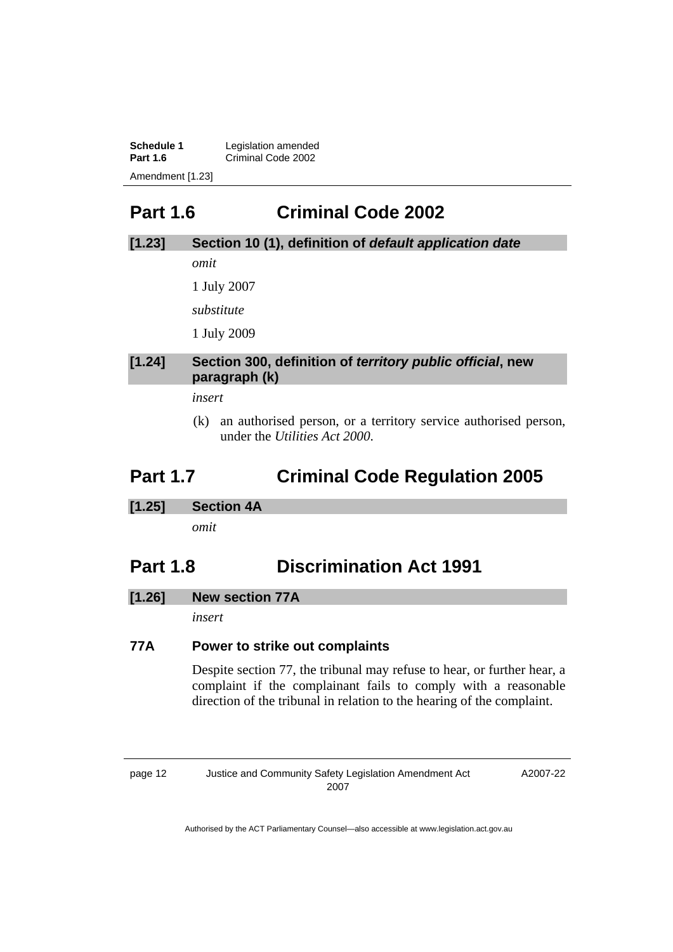| Schedule 1       | Legislation amended |
|------------------|---------------------|
| <b>Part 1.6</b>  | Criminal Code 2002  |
| Amendment [1.23] |                     |

# **Part 1.6 Criminal Code 2002**

### **[1.23] Section 10 (1), definition of** *default application date*

*omit* 

1 July 2007

*substitute* 

1 July 2009

### **[1.24] Section 300, definition of** *territory public official***, new paragraph (k)**

*insert* 

 (k) an authorised person, or a territory service authorised person, under the *Utilities Act 2000*.

# **Part 1.7 Criminal Code Regulation 2005**

**[1.25] Section 4A** 

*omit* 

# **Part 1.8 Discrimination Act 1991**

### **[1.26] New section 77A**

*insert* 

### **77A Power to strike out complaints**

Despite section 77, the tribunal may refuse to hear, or further hear, a complaint if the complainant fails to comply with a reasonable direction of the tribunal in relation to the hearing of the complaint.

page 12 Justice and Community Safety Legislation Amendment Act 2007

A2007-22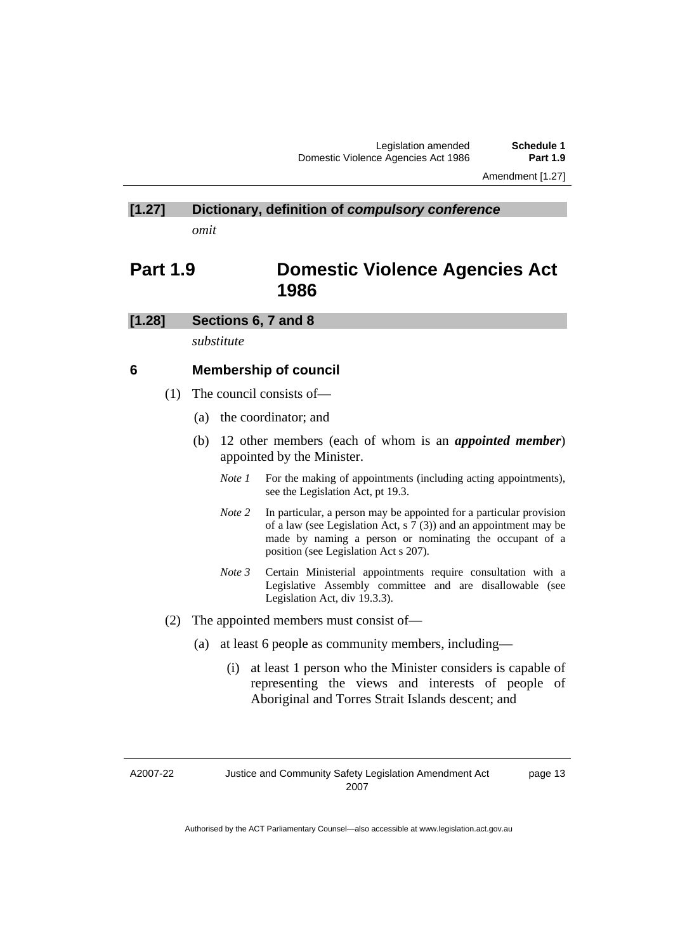# **[1.27] Dictionary, definition of** *compulsory conference*

*omit* 

# **Part 1.9 Domestic Violence Agencies Act 1986**

### **[1.28] Sections 6, 7 and 8**

*substitute* 

### **6 Membership of council**

- (1) The council consists of—
	- (a) the coordinator; and
	- (b) 12 other members (each of whom is an *appointed member*) appointed by the Minister.
		- *Note 1* For the making of appointments (including acting appointments), see the Legislation Act, pt 19.3.
		- *Note 2* In particular, a person may be appointed for a particular provision of a law (see Legislation Act, s 7 (3)) and an appointment may be made by naming a person or nominating the occupant of a position (see Legislation Act s 207).
		- *Note 3* Certain Ministerial appointments require consultation with a Legislative Assembly committee and are disallowable (see Legislation Act, div 19.3.3).
- (2) The appointed members must consist of—
	- (a) at least 6 people as community members, including—
		- (i) at least 1 person who the Minister considers is capable of representing the views and interests of people of Aboriginal and Torres Strait Islands descent; and

A2007-22

page 13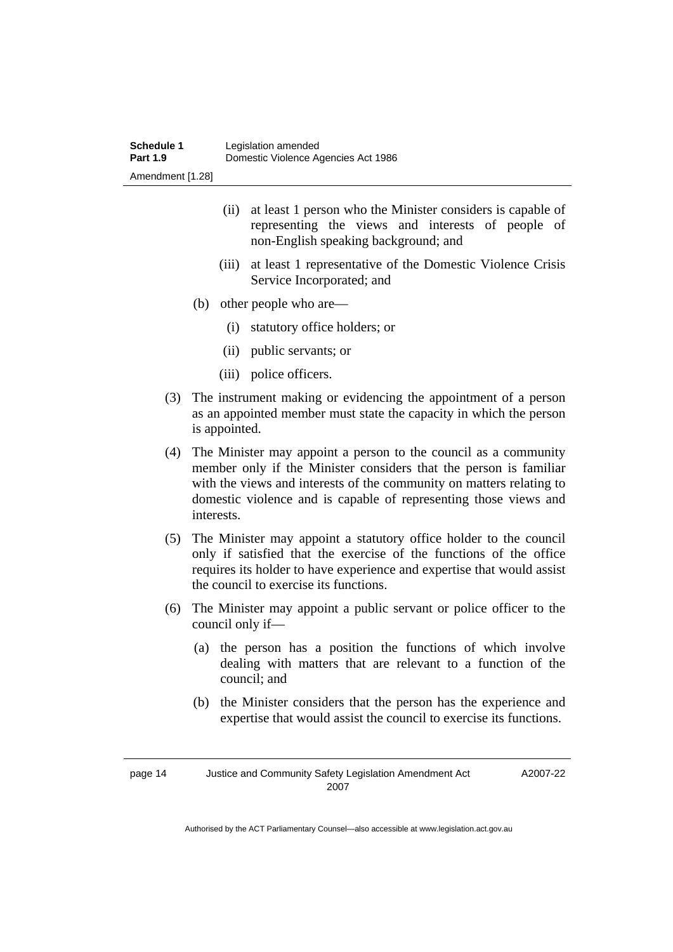- (ii) at least 1 person who the Minister considers is capable of representing the views and interests of people of non-English speaking background; and
- (iii) at least 1 representative of the Domestic Violence Crisis Service Incorporated; and
- (b) other people who are—
	- (i) statutory office holders; or
	- (ii) public servants; or
	- (iii) police officers.
- (3) The instrument making or evidencing the appointment of a person as an appointed member must state the capacity in which the person is appointed.
- (4) The Minister may appoint a person to the council as a community member only if the Minister considers that the person is familiar with the views and interests of the community on matters relating to domestic violence and is capable of representing those views and interests.
- (5) The Minister may appoint a statutory office holder to the council only if satisfied that the exercise of the functions of the office requires its holder to have experience and expertise that would assist the council to exercise its functions.
- (6) The Minister may appoint a public servant or police officer to the council only if—
	- (a) the person has a position the functions of which involve dealing with matters that are relevant to a function of the council; and
	- (b) the Minister considers that the person has the experience and expertise that would assist the council to exercise its functions.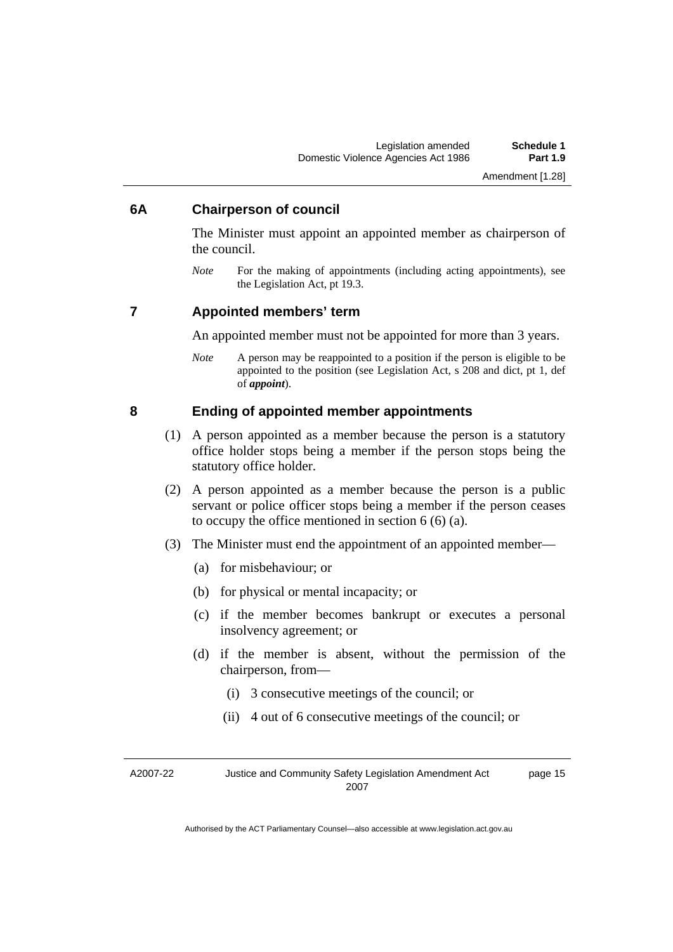Amendment [1.28]

### **6A Chairperson of council**

The Minister must appoint an appointed member as chairperson of the council.

*Note* For the making of appointments (including acting appointments), see the Legislation Act, pt 19.3.

### **7 Appointed members' term**

An appointed member must not be appointed for more than 3 years.

*Note* A person may be reappointed to a position if the person is eligible to be appointed to the position (see Legislation Act, s 208 and dict, pt 1, def of *appoint*).

### **8 Ending of appointed member appointments**

- (1) A person appointed as a member because the person is a statutory office holder stops being a member if the person stops being the statutory office holder.
- (2) A person appointed as a member because the person is a public servant or police officer stops being a member if the person ceases to occupy the office mentioned in section 6 (6) (a).
- (3) The Minister must end the appointment of an appointed member—
	- (a) for misbehaviour; or
	- (b) for physical or mental incapacity; or
	- (c) if the member becomes bankrupt or executes a personal insolvency agreement; or
	- (d) if the member is absent, without the permission of the chairperson, from—
		- (i) 3 consecutive meetings of the council; or
		- (ii) 4 out of 6 consecutive meetings of the council; or

A2007-22 Justice and Community Safety Legislation Amendment Act 2007 page 15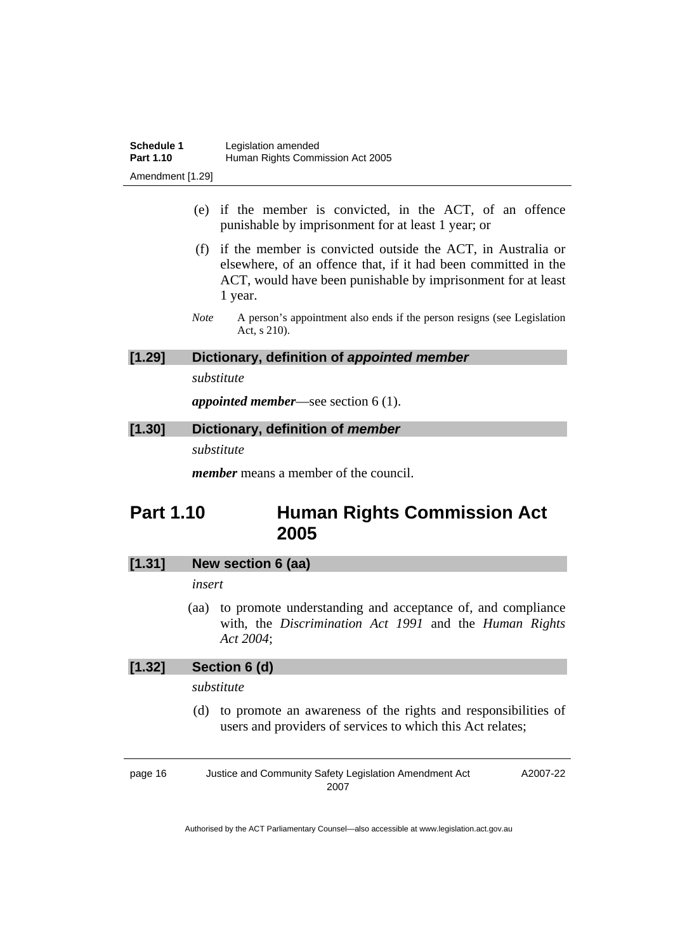- (e) if the member is convicted, in the ACT, of an offence punishable by imprisonment for at least 1 year; or
- (f) if the member is convicted outside the ACT, in Australia or elsewhere, of an offence that, if it had been committed in the ACT, would have been punishable by imprisonment for at least 1 year.
- *Note* A person's appointment also ends if the person resigns (see Legislation Act, s 210).

### **[1.29] Dictionary, definition of** *appointed member*

*substitute* 

*appointed member*—see section 6 (1).

# **[1.30] Dictionary, definition of** *member*

*substitute* 

*member* means a member of the council.

# **Part 1.10 Human Rights Commission Act 2005**

### **[1.31] New section 6 (aa)**

### *insert*

 (aa) to promote understanding and acceptance of, and compliance with, the *Discrimination Act 1991* and the *Human Rights Act 2004*;

### **[1.32] Section 6 (d)**

### *substitute*

 (d) to promote an awareness of the rights and responsibilities of users and providers of services to which this Act relates;

page 16 Justice and Community Safety Legislation Amendment Act 2007 A2007-22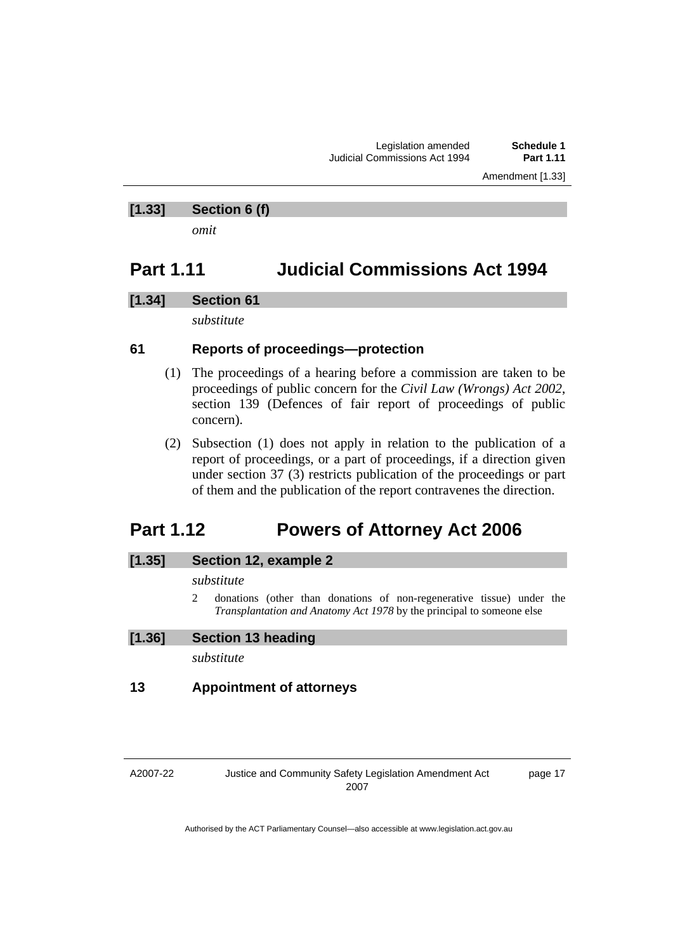Amendment [1.33]

### **[1.33] Section 6 (f)**

*omit* 

## **Part 1.11 Judicial Commissions Act 1994**

### **[1.34] Section 61**

*substitute* 

### **61 Reports of proceedings—protection**

- (1) The proceedings of a hearing before a commission are taken to be proceedings of public concern for the *Civil Law (Wrongs) Act 2002*, section 139 (Defences of fair report of proceedings of public concern).
- (2) Subsection (1) does not apply in relation to the publication of a report of proceedings, or a part of proceedings, if a direction given under section 37 (3) restricts publication of the proceedings or part of them and the publication of the report contravenes the direction.

# **Part 1.12 Powers of Attorney Act 2006**

### **[1.35] Section 12, example 2**

### *substitute*

2 donations (other than donations of non-regenerative tissue) under the *Transplantation and Anatomy Act 1978* by the principal to someone else

### **[1.36] Section 13 heading**

*substitute* 

### **13 Appointment of attorneys**

A2007-22

Justice and Community Safety Legislation Amendment Act 2007

page 17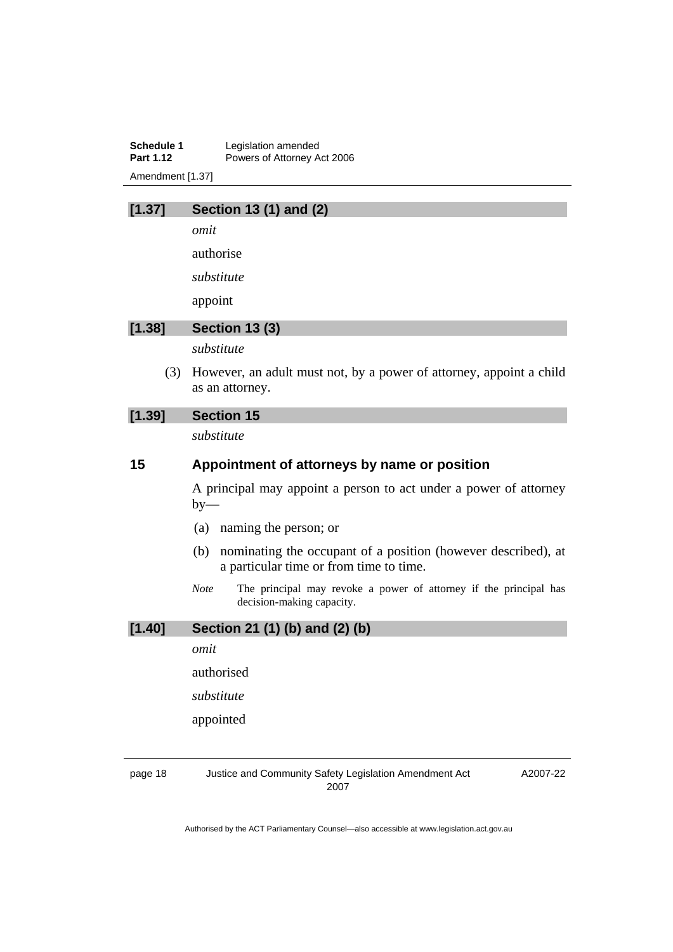**Schedule 1** Legislation amended<br>**Part 1.12** Powers of Attorney A Powers of Attorney Act 2006 Amendment [1.37]

### **[1.37] Section 13 (1) and (2)**

*omit* 

authorise

*substitute* 

appoint

### **[1.38] Section 13 (3)**

*substitute* 

 (3) However, an adult must not, by a power of attorney, appoint a child as an attorney.

### **[1.39] Section 15**

*substitute* 

### **15 Appointment of attorneys by name or position**

A principal may appoint a person to act under a power of attorney  $by-$ 

- (a) naming the person; or
- (b) nominating the occupant of a position (however described), at a particular time or from time to time.
- *Note* The principal may revoke a power of attorney if the principal has decision-making capacity.

**[1.40] Section 21 (1) (b) and (2) (b)**  *omit*  authorised *substitute*  appointed

page 18 Justice and Community Safety Legislation Amendment Act 2007

A2007-22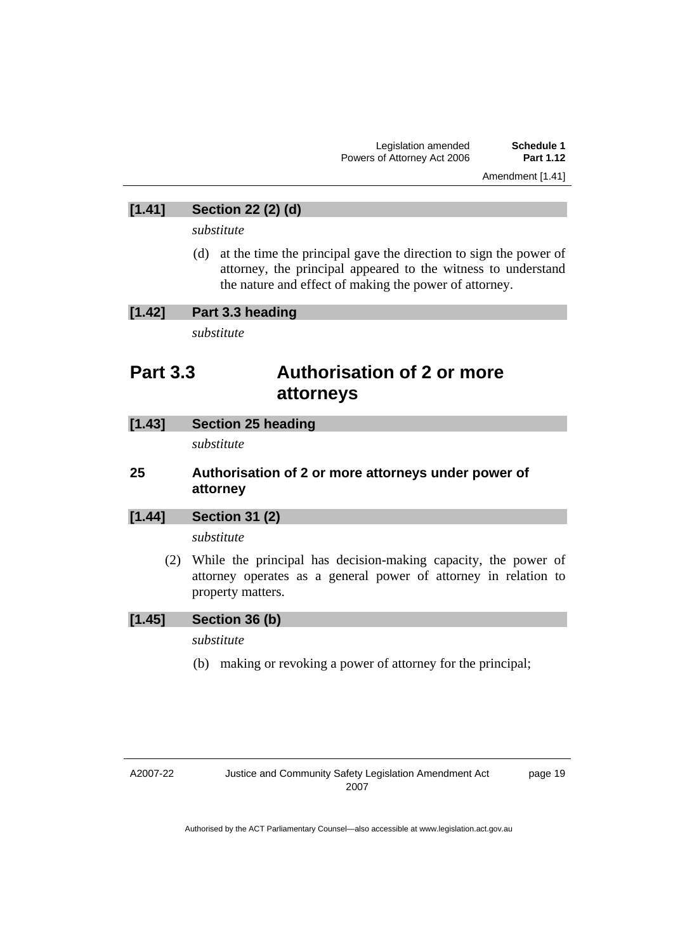Amendment [1.41]

### **[1.41] Section 22 (2) (d)**

*substitute* 

 (d) at the time the principal gave the direction to sign the power of attorney, the principal appeared to the witness to understand the nature and effect of making the power of attorney.

### **[1.42] Part 3.3 heading**

*substitute* 

## **Part 3.3 Authorisation of 2 or more attorneys**

| $[1.43]$ | <b>Section 25 heading</b> |  |
|----------|---------------------------|--|
|----------|---------------------------|--|

*substitute* 

### **25 Authorisation of 2 or more attorneys under power of attorney**

### **[1.44] Section 31 (2)**

*substitute* 

 (2) While the principal has decision-making capacity, the power of attorney operates as a general power of attorney in relation to property matters.

### **[1.45] Section 36 (b)**

*substitute* 

(b) making or revoking a power of attorney for the principal;

page 19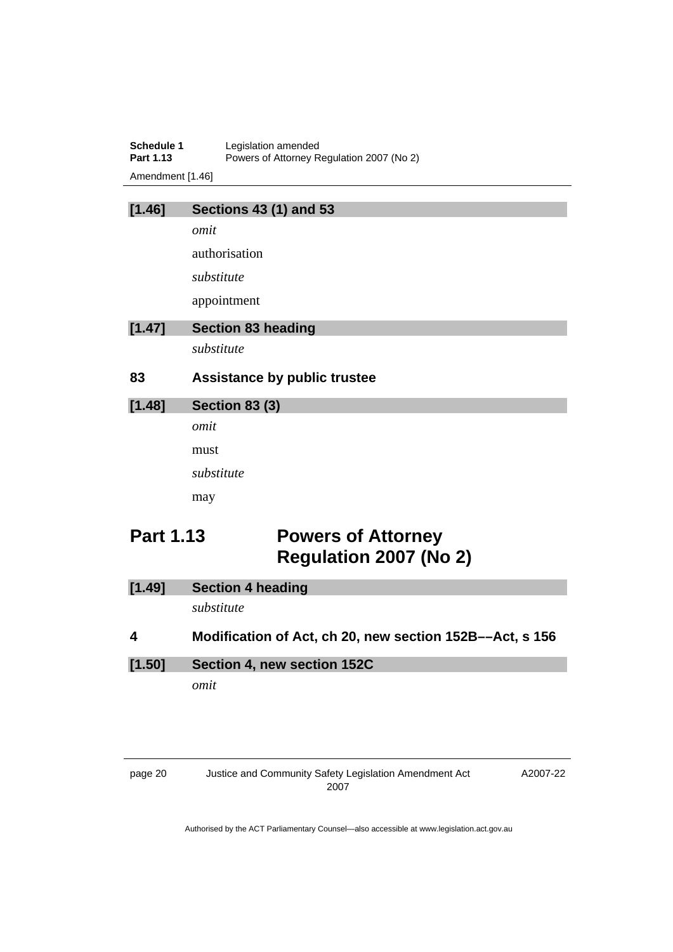| Schedule 1       | Legislation amended                       |
|------------------|-------------------------------------------|
| Part 1.13        | Powers of Attorney Regulation 2007 (No 2) |
| Amendment [1.46] |                                           |

| [1.46] | <b>Sections 43 (1) and 53</b>       |
|--------|-------------------------------------|
|        | omit                                |
|        | authorisation                       |
|        | substitute                          |
|        | appointment                         |
| [1.47] | <b>Section 83 heading</b>           |
|        | substitute                          |
|        |                                     |
| 83     | <b>Assistance by public trustee</b> |
| [1.48] | <b>Section 83 (3)</b>               |
|        | omit                                |
|        | must                                |
|        | substitute                          |
|        | may                                 |

# **Part 1.13 Powers of Attorney Regulation 2007 (No 2)**

| [1.49]                  | <b>Section 4 heading</b>                                 |
|-------------------------|----------------------------------------------------------|
|                         | substitute                                               |
| $\overline{\mathbf{4}}$ | Modification of Act, ch 20, new section 152B--Act, s 156 |
| [1.50]                  | Section 4, new section 152C                              |
|                         | omit                                                     |

A2007-22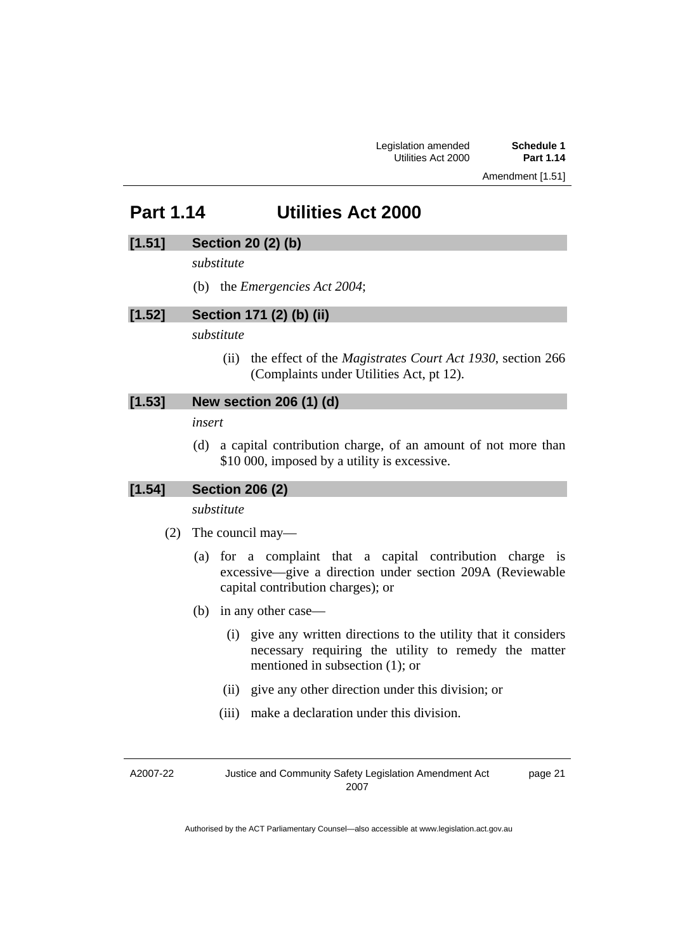Amendment [1.51]

# **Part 1.14 Utilities Act 2000**

### **[1.51] Section 20 (2) (b)**

*substitute* 

(b) the *Emergencies Act 2004*;

### **[1.52] Section 171 (2) (b) (ii)**

*substitute* 

 (ii) the effect of the *Magistrates Court Act 1930*, section 266 (Complaints under Utilities Act, pt 12).

### **[1.53] New section 206 (1) (d)**

*insert* 

 (d) a capital contribution charge, of an amount of not more than \$10 000, imposed by a utility is excessive.

### **[1.54] Section 206 (2)**

*substitute* 

- (2) The council may—
	- (a) for a complaint that a capital contribution charge is excessive—give a direction under section 209A (Reviewable capital contribution charges); or
	- (b) in any other case—
		- (i) give any written directions to the utility that it considers necessary requiring the utility to remedy the matter mentioned in subsection (1); or
		- (ii) give any other direction under this division; or
		- (iii) make a declaration under this division.

A2007-22

Justice and Community Safety Legislation Amendment Act 2007

page 21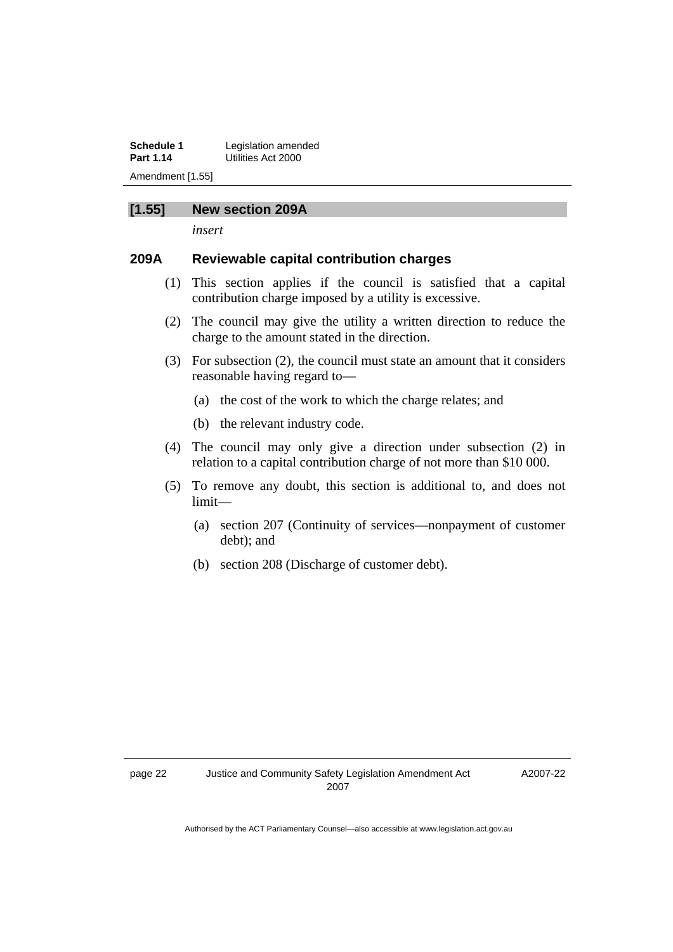**Schedule 1** Legislation amended<br>**Part 1.14 Litrical Littles Act 2000 Part 1.14** Utilities Act 2000 Amendment [1.55]

### **[1.55] New section 209A**

*insert* 

### **209A Reviewable capital contribution charges**

- (1) This section applies if the council is satisfied that a capital contribution charge imposed by a utility is excessive.
- (2) The council may give the utility a written direction to reduce the charge to the amount stated in the direction.
- (3) For subsection (2), the council must state an amount that it considers reasonable having regard to—
	- (a) the cost of the work to which the charge relates; and
	- (b) the relevant industry code.
- (4) The council may only give a direction under subsection (2) in relation to a capital contribution charge of not more than \$10 000.
- (5) To remove any doubt, this section is additional to, and does not limit—
	- (a) section 207 (Continuity of services—nonpayment of customer debt); and
	- (b) section 208 (Discharge of customer debt).

A2007-22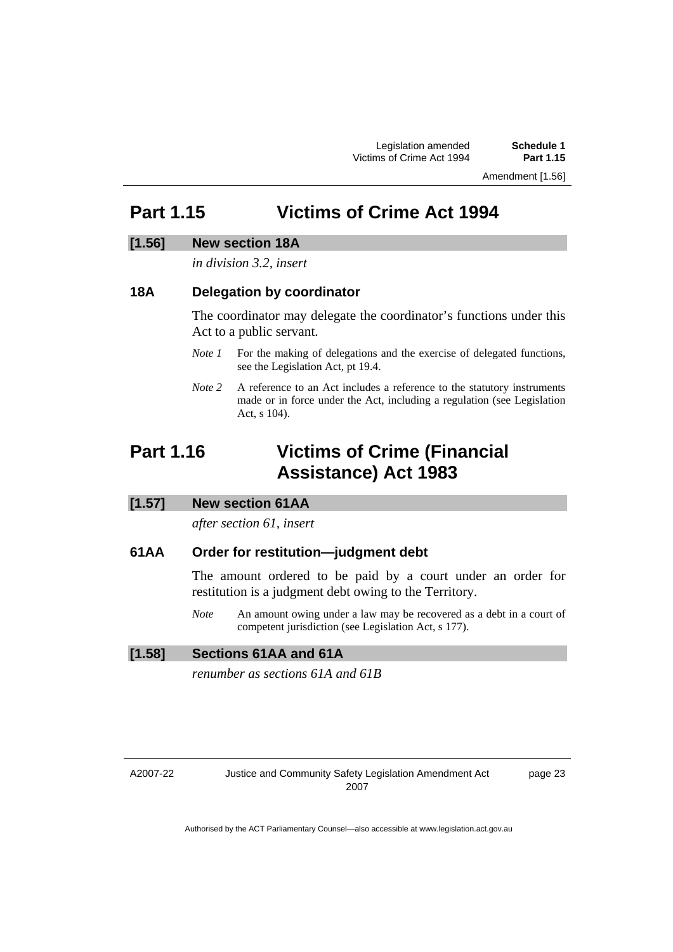Amendment [1.56]

# **Part 1.15 Victims of Crime Act 1994**

### **[1.56] New section 18A**

### *in division 3.2, insert*

### **18A Delegation by coordinator**

The coordinator may delegate the coordinator's functions under this Act to a public servant.

- *Note 1* For the making of delegations and the exercise of delegated functions, see the Legislation Act, pt 19.4.
- *Note 2* A reference to an Act includes a reference to the statutory instruments made or in force under the Act, including a regulation (see Legislation Act, s 104).

# **Part 1.16 Victims of Crime (Financial Assistance) Act 1983**

### **[1.57] New section 61AA**

*after section 61, insert* 

### **61AA Order for restitution—judgment debt**

The amount ordered to be paid by a court under an order for restitution is a judgment debt owing to the Territory.

*Note* An amount owing under a law may be recovered as a debt in a court of competent jurisdiction (see Legislation Act, s 177).

### **[1.58] Sections 61AA and 61A**

*renumber as sections 61A and 61B* 

A2007-22

page 23